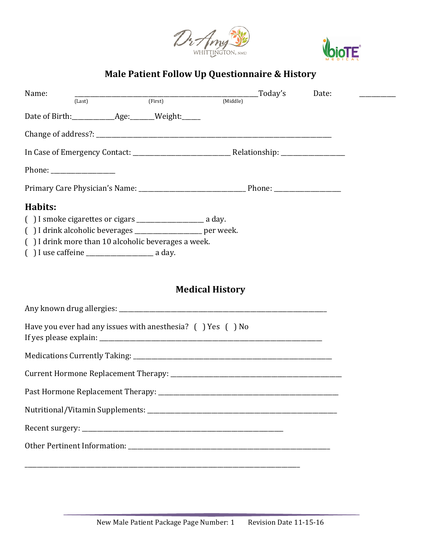



# **Male Patient Follow Up Questionnaire & History**

| Name:<br>$\overline{r}$ (First)                                                                                                                                                                                                                                                                                                                                                                                          | _Today's<br>Date:      |
|--------------------------------------------------------------------------------------------------------------------------------------------------------------------------------------------------------------------------------------------------------------------------------------------------------------------------------------------------------------------------------------------------------------------------|------------------------|
| (Last)<br>Date of Birth: ___________________________________Weight:_______                                                                                                                                                                                                                                                                                                                                               | (Middle)               |
|                                                                                                                                                                                                                                                                                                                                                                                                                          |                        |
|                                                                                                                                                                                                                                                                                                                                                                                                                          |                        |
| Phone: $\frac{1}{\sqrt{1-\frac{1}{2}}}\frac{1}{\sqrt{1-\frac{1}{2}}}\frac{1}{\sqrt{1-\frac{1}{2}}}\frac{1}{\sqrt{1-\frac{1}{2}}}\frac{1}{\sqrt{1-\frac{1}{2}}}\frac{1}{\sqrt{1-\frac{1}{2}}}\frac{1}{\sqrt{1-\frac{1}{2}}}\frac{1}{\sqrt{1-\frac{1}{2}}}\frac{1}{\sqrt{1-\frac{1}{2}}}\frac{1}{\sqrt{1-\frac{1}{2}}}\frac{1}{\sqrt{1-\frac{1}{2}}}\frac{1}{\sqrt{1-\frac{1}{2}}}\frac{1}{\sqrt{1-\frac{1}{2}}}\frac{1}{$ |                        |
|                                                                                                                                                                                                                                                                                                                                                                                                                          |                        |
| Habits:<br>() I drink alcoholic beverages ___________________ per week.<br>() I drink more than 10 alcoholic beverages a week.                                                                                                                                                                                                                                                                                           |                        |
|                                                                                                                                                                                                                                                                                                                                                                                                                          | <b>Medical History</b> |
|                                                                                                                                                                                                                                                                                                                                                                                                                          |                        |
| Have you ever had any issues with anesthesia? () Yes () No                                                                                                                                                                                                                                                                                                                                                               |                        |
|                                                                                                                                                                                                                                                                                                                                                                                                                          |                        |
|                                                                                                                                                                                                                                                                                                                                                                                                                          |                        |
| Past Hormone Replacement Therapy:                                                                                                                                                                                                                                                                                                                                                                                        |                        |
|                                                                                                                                                                                                                                                                                                                                                                                                                          |                        |
|                                                                                                                                                                                                                                                                                                                                                                                                                          |                        |
|                                                                                                                                                                                                                                                                                                                                                                                                                          |                        |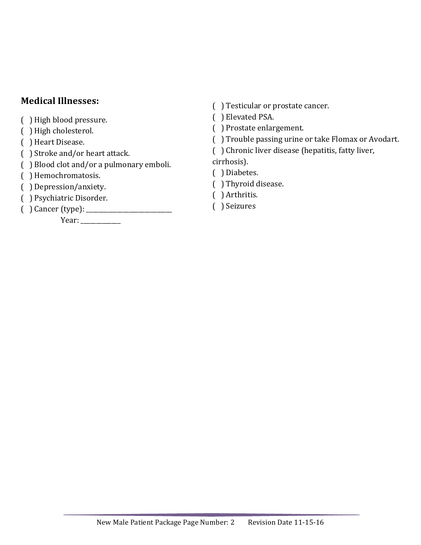## **Medical Illnesses:**

- ( ) High blood pressure.
- ( ) High cholesterol.
- ( ) Heart Disease.
- ( ) Stroke and/or heart attack.
- ( ) Blood clot and/or a pulmonary emboli.
- ( ) Hemochromatosis.
- ( ) Depression/anxiety.
- ( ) Psychiatric Disorder.
- ( ) Cancer (type): \_\_\_\_\_\_\_\_\_\_\_\_\_\_\_\_\_\_\_\_\_\_\_\_\_\_\_\_

 Year: \_\_\_\_\_\_\_\_\_\_\_\_\_

- () Testicular or prostate cancer.
- ( ) Elevated PSA.
- ( ) Prostate enlargement.
- ( ) Trouble passing urine or take Flomax or Avodart.
- ( ) Chronic liver disease (hepatitis, fatty liver,

cirrhosis).

- ( ) Diabetes.
- ( ) Thyroid disease.
- ( ) Arthritis.
- ( ) Seizures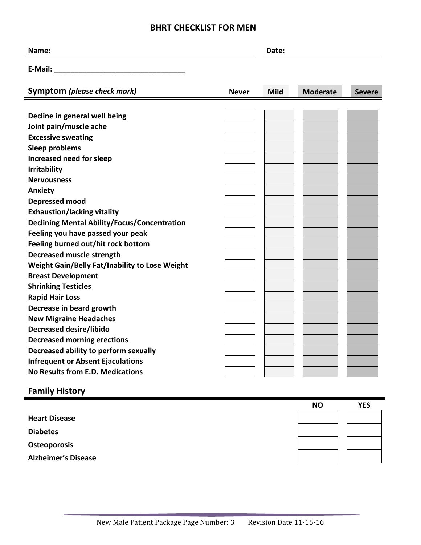### **BHRT CHECKLIST FOR MEN**

| Name:                         | Date:        |             |                 |               |
|-------------------------------|--------------|-------------|-----------------|---------------|
| E-Mail:                       |              |             |                 |               |
| Symptom (please check mark)   | <b>Never</b> | <b>Mild</b> | <b>Moderate</b> | <b>Severe</b> |
| Decline in general well being |              |             |                 |               |
| Joint pain/muscle ache        |              |             |                 |               |
| <b>Excessive sweating</b>     |              |             |                 |               |

- **Sleep problems Increased need for sleep**
- **Irritability**
- **Nervousness**
- **Anxiety**
- **Depressed mood**
- **Exhaustion/lacking vitality**
- **Declining Mental Ability/Focus/Concentration**
- **Feeling you have passed your peak**
- **Feeling burned out/hit rock bottom**
- **Decreased muscle strength**
- **Weight Gain/Belly Fat/Inability to Lose Weight**
- **Breast Development**
- **Shrinking Testicles**
- **Rapid Hair Loss**
- **Decrease in beard growth**
- **New Migraine Headaches**
- **Decreased desire/libido**
- **Decreased morning erections**
- **Decreased ability to perform sexually**
- **Infrequent or Absent Ejaculations No Results from E.D. Medications**

### **Family History**

|                            | <b>NO</b> | <b>YES</b> |
|----------------------------|-----------|------------|
| <b>Heart Disease</b>       |           |            |
| <b>Diabetes</b>            |           |            |
| <b>Osteoporosis</b>        |           |            |
| <b>Alzheimer's Disease</b> |           |            |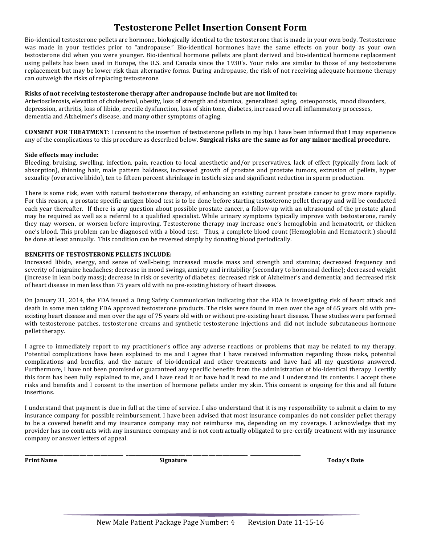### **Testosterone Pellet Insertion Consent Form**

Bio-identical testosterone pellets are hormone, biologically identical to the testosterone that is made in your own body. Testosterone was made in your testicles prior to "andropause." Bio-identical hormones have the same effects on your body as your own testosterone did when you were younger. Bio-identical hormone pellets are plant derived and bio-identical hormone replacement using pellets has been used in Europe, the U.S. and Canada since the 1930's. Your risks are similar to those of any testosterone replacement but may be lower risk than alternative forms. During andropause, the risk of not receiving adequate hormone therapy can outweigh the risks of replacing testosterone.

#### **Risks of not receiving testosterone therapy after andropause include but are not limited to:**

Arteriosclerosis, elevation of cholesterol, obesity, loss of strength and stamina, generalized aging, osteoporosis, mood disorders, depression, arthritis, loss of libido, erectile dysfunction, loss of skin tone, diabetes, increased overall inflammatory processes, dementia and Alzheimer's disease, and many other symptoms of aging.

**CONSENT FOR TREATMENT:** I consent to the insertion of testosterone pellets in my hip. I have been informed that I may experience any of the complications to this procedure as described below. **Surgical risks are the same as for any minor medical procedure.** 

#### Side effects may include:

Bleeding, bruising, swelling, infection, pain, reaction to local anesthetic and/or preservatives, lack of effect (typically from lack of absorption), thinning hair, male pattern baldness, increased growth of prostate and prostate tumors, extrusion of pellets, hyper sexuality (overactive libido), ten to fifteen percent shrinkage in testicle size and significant reduction in sperm production.

There is some risk, even with natural testosterone therapy, of enhancing an existing current prostate cancer to grow more rapidly. For this reason, a prostate specific antigen blood test is to be done before starting testosterone pellet therapy and will be conducted each year thereafter. If there is any question about possible prostate cancer, a follow-up with an ultrasound of the prostate gland may be required as well as a referral to a qualified specialist. While urinary symptoms typically improve with testosterone, rarely they may worsen, or worsen before improving. Testosterone therapy may increase one's hemoglobin and hematocrit, or thicken one's blood. This problem can be diagnosed with a blood test. Thus, a complete blood count (Hemoglobin and Hematocrit.) should be done at least annually. This condition can be reversed simply by donating blood periodically.

#### **BENEFITS OF TESTOSTERONE PELLETS INCLUDE:**

Increased libido, energy, and sense of well-being; increased muscle mass and strength and stamina; decreased frequency and severity of migraine headaches; decrease in mood swings, anxiety and irritability (secondary to hormonal decline); decreased weight (increase in lean body mass); decrease in risk or severity of diabetes; decreased risk of Alzheimer's and dementia; and decreased risk of heart disease in men less than 75 years old with no pre-existing history of heart disease.

On January 31, 2014, the FDA issued a Drug Safety Communication indicating that the FDA is investigating risk of heart attack and death in some men taking FDA approved testosterone products. The risks were found in men over the age of 65 years old with preexisting heart disease and men over the age of 75 years old with or without pre-existing heart disease. These studies were performed with testosterone patches, testosterone creams and synthetic testosterone injections and did not include subcutaneous hormone pellet therapy.

I agree to immediately report to my practitioner's office any adverse reactions or problems that may be related to my therapy. Potential complications have been explained to me and I agree that I have received information regarding those risks, potential complications and benefits, and the nature of bio-identical and other treatments and have had all my questions answered. Furthermore, I have not been promised or guaranteed any specific benefits from the administration of bio-identical therapy. I certify this form has been fully explained to me, and I have read it or have had it read to me and I understand its contents. I accept these risks and benefits and I consent to the insertion of hormone pellets under my skin. This consent is ongoing for this and all future insertions. 

I understand that payment is due in full at the time of service. I also understand that it is my responsibility to submit a claim to my insurance company for possible reimbursement. I have been advised that most insurance companies do not consider pellet therapy to be a covered benefit and my insurance company may not reimburse me, depending on my coverage. I acknowledge that my provider has no contracts with any insurance company and is not contractually obligated to pre-certify treatment with my insurance company or answer letters of appeal.

\_\_\_\_\_\_\_\_\_\_\_\_\_\_\_\_\_\_\_\_\_\_\_\_\_\_\_\_\_\_\_\_\_\_\_\_\_\_\_\_\_\_\_ \_\_\_\_\_\_\_\_\_\_\_\_\_\_\_\_\_\_\_\_\_\_\_\_\_\_\_\_\_\_\_\_\_\_\_\_\_\_\_\_\_\_\_\_\_\_\_\_\_\_\_\_\_ \_\_\_\_\_\_\_\_\_\_\_\_\_\_\_\_\_\_\_\_\_\_

**Print Name Signature Today's Date**